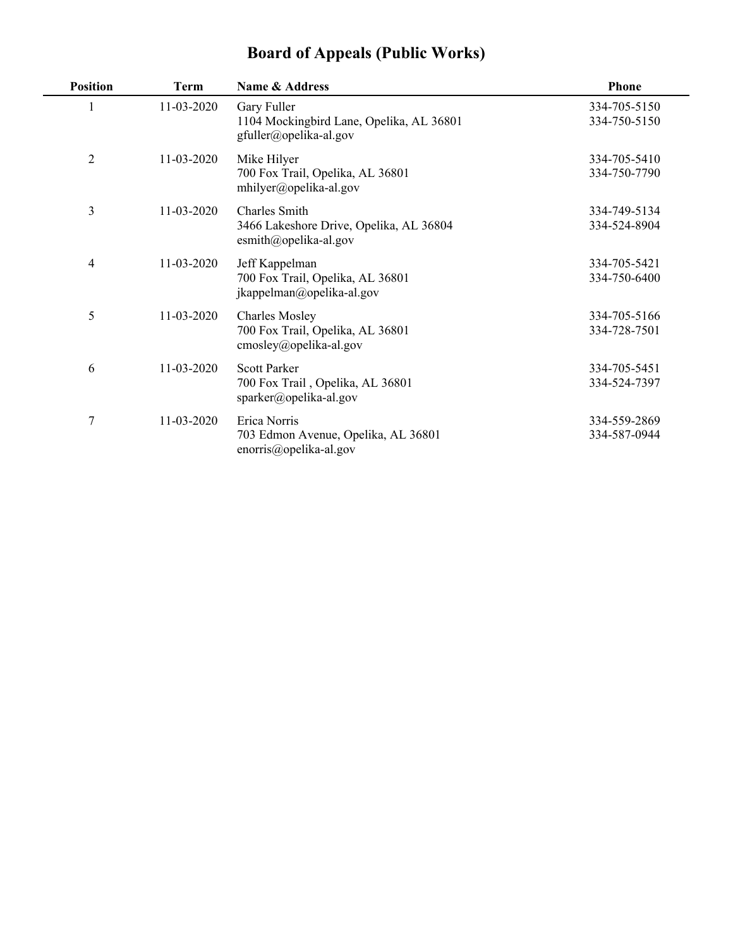|  |  |  |  | <b>Board of Appeals (Public Works)</b> |  |
|--|--|--|--|----------------------------------------|--|
|--|--|--|--|----------------------------------------|--|

| <b>Position</b> | <b>Term</b> | Name & Address                                                                                | <b>Phone</b>                 |
|-----------------|-------------|-----------------------------------------------------------------------------------------------|------------------------------|
|                 | 11-03-2020  | Gary Fuller<br>1104 Mockingbird Lane, Opelika, AL 36801<br>gfuller@opelika-al.gov             | 334-705-5150<br>334-750-5150 |
| $\overline{2}$  | 11-03-2020  | Mike Hilyer<br>700 Fox Trail, Opelika, AL 36801<br>mhilyer@opelika-al.gov                     | 334-705-5410<br>334-750-7790 |
| 3               | 11-03-2020  | Charles Smith<br>3466 Lakeshore Drive, Opelika, AL 36804<br>esmith@opelika-al.gov             | 334-749-5134<br>334-524-8904 |
| 4               | 11-03-2020  | Jeff Kappelman<br>700 Fox Trail, Opelika, AL 36801<br>jkappelman@opelika-al.gov               | 334-705-5421<br>334-750-6400 |
| 5               | 11-03-2020  | <b>Charles Mosley</b><br>700 Fox Trail, Opelika, AL 36801<br>cmosley@opelika-al.gov           | 334-705-5166<br>334-728-7501 |
| 6               | 11-03-2020  | <b>Scott Parker</b><br>700 Fox Trail, Opelika, AL 36801<br>$sparker(\partial)$ opelika-al.gov | 334-705-5451<br>334-524-7397 |
| 7               | 11-03-2020  | Erica Norris<br>703 Edmon Avenue, Opelika, AL 36801<br>enorris@opelika-al.gov                 | 334-559-2869<br>334-587-0944 |